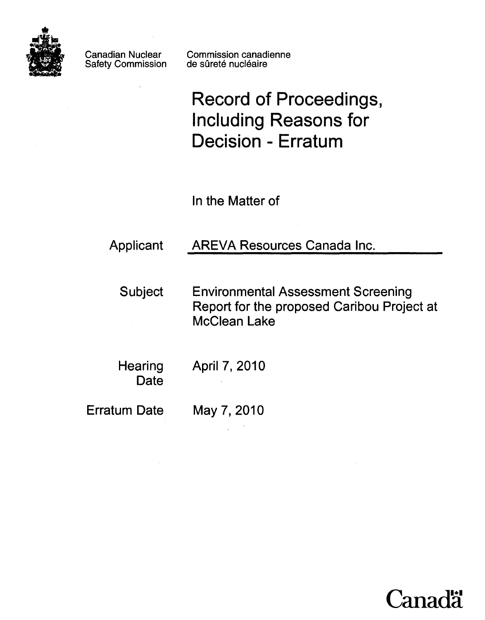

Safety Commission

Canadian Nuclear Commission canadienne<br>Safety Commission de sûreté nucléaire

## **Record of Proceedings, Including Reasons for Decision - Erratum**

In the Matter of

Applicant AREVA Resources Canada Inc.

Subject Environmental Assessment Screening Report for the proposed Caribou Project at McClean Lake

**Date** 

Hearing April 7, 2010

**Erratum Date** May 7,2010

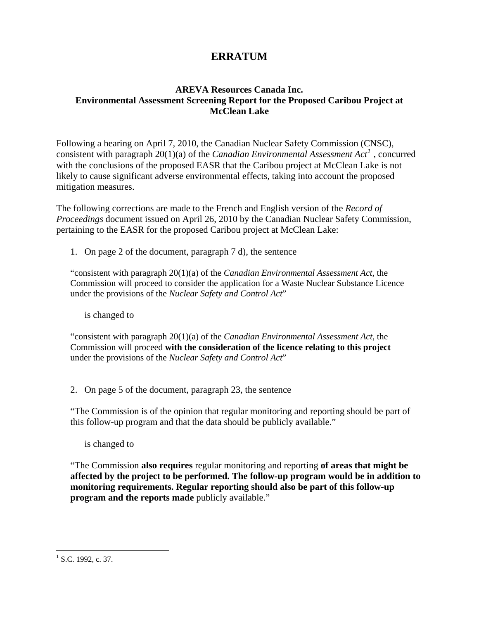## **ERRATUM**

## **AREVA Resources Canada Inc. Environmental Assessment Screening Report for the Proposed Caribou Project at McClean Lake**

Following a hearing on April 7, 2010, the Canadian Nuclear Safety Commission (CNSC), consistent with paragraph 20(1)(a) of the *Canadian Environmental Assessment Act[1](#page-1-0) ,* concurred with the conclusions of the proposed EASR that the Caribou project at McClean Lake is not likely to cause significant adverse environmental effects, taking into account the proposed mitigation measures.

The following corrections are made to the French and English version of the *Record of Proceedings* document issued on April 26, 2010 by the Canadian Nuclear Safety Commission, pertaining to the EASR for the proposed Caribou project at McClean Lake:

1. On page 2 of the document, paragraph 7 d), the sentence

"consistent with paragraph 20(1)(a) of the *Canadian Environmental Assessment Act*, the Commission will proceed to consider the application for a Waste Nuclear Substance Licence under the provisions of the *Nuclear Safety and Control Act*"

is changed to

"consistent with paragraph 20(1)(a) of the *Canadian Environmental Assessment Act*, the Commission will proceed **with the consideration of the licence relating to this project** under the provisions of the *Nuclear Safety and Control Act*"

2. On page 5 of the document, paragraph 23, the sentence

"The Commission is of the opinion that regular monitoring and reporting should be part of this follow-up program and that the data should be publicly available."

is changed to

"The Commission **also requires** regular monitoring and reporting **of areas that might be affected by the project to be performed. The follow-up program would be in addition to monitoring requirements. Regular reporting should also be part of this follow-up program and the reports made** publicly available."

 $\overline{a}$ 

<span id="page-1-0"></span> $<sup>1</sup>$  S.C. 1992, c. 37.</sup>